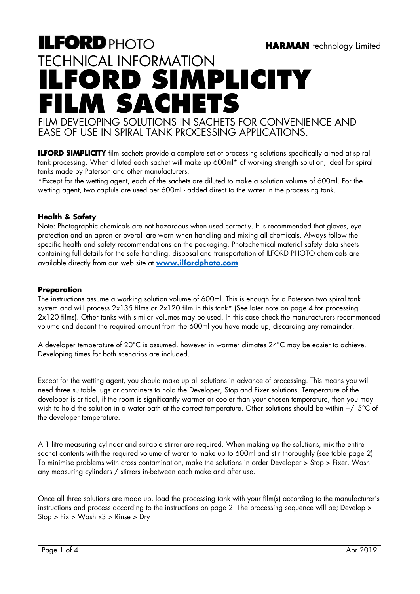# **ILFORD PHOTO** TECHNICAL INFORMATION **ILFORD SIMPLICITY FILM SACHETS** FILM DEVELOPING SOLUTIONS IN SACHETS FOR CONVENIENCE AND EASE OF USE IN SPIRAL TANK PROCESSING APPLICATIONS.

**ILFORD SIMPLICITY** film sachets provide a complete set of processing solutions specifically aimed at spiral tank processing. When diluted each sachet will make up 600ml\* of working strength solution, ideal for spiral tanks made by Paterson and other manufacturers.

\*Except for the wetting agent, each of the sachets are diluted to make a solution volume of 600ml. For the wetting agent, two capfuls are used per 600ml - added direct to the water in the processing tank.

# **Health & Safety**

Note: Photographic chemicals are not hazardous when used correctly. It is recommended that gloves, eye protection and an apron or overall are worn when handling and mixing all chemicals. Always follow the specific health and safety recommendations on the packaging. Photochemical material safety data sheets containing full details for the safe handling, disposal and transportation of ILFORD PHOTO chemicals are available directly from our web site at **[www.ilfordphoto.com](http://www.ilfordphoto.com/)**

# **Preparation**

The instructions assume a working solution volume of 600ml. This is enough for a Paterson two spiral tank system and will process 2x135 films or 2x120 film in this tank\* (See later note on page 4 for processing 2x120 films). Other tanks with similar volumes may be used. In this case check the manufacturers recommended volume and decant the required amount from the 600ml you have made up, discarding any remainder.

A developer temperature of 20°C is assumed, however in warmer climates 24°C may be easier to achieve. Developing times for both scenarios are included.

Except for the wetting agent, you should make up all solutions in advance of processing. This means you will need three suitable jugs or containers to hold the Developer, Stop and Fixer solutions. Temperature of the developer is critical, if the room is significantly warmer or cooler than your chosen temperature, then you may wish to hold the solution in a water bath at the correct temperature. Other solutions should be within +/- 5°C of the developer temperature.

A 1 litre measuring cylinder and suitable stirrer are required. When making up the solutions, mix the entire sachet contents with the required volume of water to make up to 600ml and stir thoroughly (see table page 2). To minimise problems with cross contamination, make the solutions in order Developer > Stop > Fixer. Wash any measuring cylinders / stirrers in-between each make and after use.

Once all three solutions are made up, load the processing tank with your film(s) according to the manufacturer's instructions and process according to the instructions on page 2. The processing sequence will be; Develop > Stop > Fix > Wash x3 > Rinse > Dry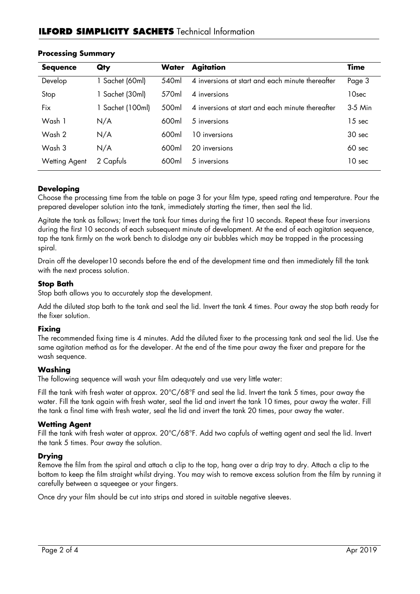# **ILFORD SIMPLICITY SACHETS** Technical Information

| <b>Sequence</b> | Qty              | <b>Water</b> | <b>Agitation</b>                                 | <b>Time</b>       |
|-----------------|------------------|--------------|--------------------------------------------------|-------------------|
| Develop         | 1 Sachet (60ml)  | 540ml        | 4 inversions at start and each minute thereafter | Page 3            |
| Stop            | 1 Sachet (30ml)  | 570ml        | 4 inversions                                     | 10sec             |
| Fix             | 1 Sachet (100ml) | 500ml        | 4 inversions at start and each minute thereafter | $3-5$ Min         |
| Wash 1          | N/A              | 600ml        | 5 inversions                                     | 15 sec            |
| Wash 2          | N/A              | 600ml        | 10 inversions                                    | 30 <sub>sec</sub> |
| Wash 3          | N/A              | 600ml        | 20 inversions                                    | 60 sec            |
| Wetting Agent   | 2 Capfuls        | 600ml        | 5 inversions                                     | 10 <sub>sec</sub> |

## **Processing Summary**

### **Developing**

Choose the processing time from the table on page 3 for your film type, speed rating and temperature. Pour the prepared developer solution into the tank, immediately starting the timer, then seal the lid.

Agitate the tank as follows; Invert the tank four times during the first 10 seconds. Repeat these four inversions during the first 10 seconds of each subsequent minute of development. At the end of each agitation sequence, tap the tank firmly on the work bench to dislodge any air bubbles which may be trapped in the processing spiral.

Drain off the developer10 seconds before the end of the development time and then immediately fill the tank with the next process solution.

### **Stop Bath**

Stop bath allows you to accurately stop the development.

Add the diluted stop bath to the tank and seal the lid. Invert the tank 4 times. Pour away the stop bath ready for the fixer solution.

### **Fixing**

The recommended fixing time is 4 minutes. Add the diluted fixer to the processing tank and seal the lid. Use the same agitation method as for the developer. At the end of the time pour away the fixer and prepare for the wash sequence.

### **Washing**

The following sequence will wash your film adequately and use very little water:

Fill the tank with fresh water at approx. 20°C/68°F and seal the lid. Invert the tank 5 times, pour away the water. Fill the tank again with fresh water, seal the lid and invert the tank 10 times, pour away the water. Fill the tank a final time with fresh water, seal the lid and invert the tank 20 times, pour away the water.

### **Wetting Agent**

Fill the tank with fresh water at approx. 20°C/68°F. Add two capfuls of wetting agent and seal the lid. Invert the tank 5 times. Pour away the solution.

### **Drying**

Remove the film from the spiral and attach a clip to the top, hang over a drip tray to dry. Attach a clip to the bottom to keep the film straight whilst drying. You may wish to remove excess solution from the film by running it carefully between a squeegee or your fingers.

Once dry your film should be cut into strips and stored in suitable negative sleeves.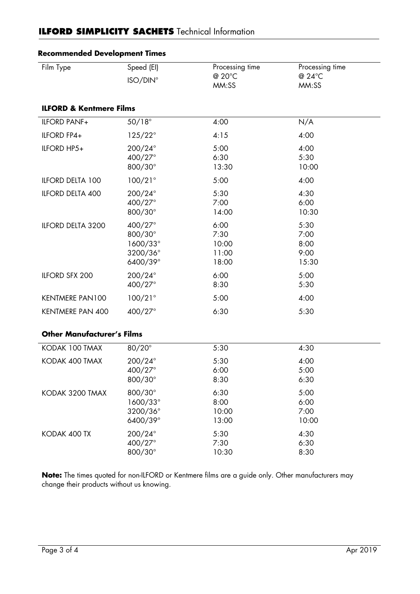# **ILFORD SIMPLICITY SACHETS** Technical Information

| Film Type                          | Speed (EI)<br>ISO/DIN°                                 | Processing time<br>@ 20°C<br>MM:SS      | Processing time<br>@ 24°C<br>MM:SS    |  |  |  |  |
|------------------------------------|--------------------------------------------------------|-----------------------------------------|---------------------------------------|--|--|--|--|
| <b>ILFORD &amp; Kentmere Films</b> |                                                        |                                         |                                       |  |  |  |  |
| <b>ILFORD PANF+</b>                | $50/18^\circ$                                          | 4:00                                    | N/A                                   |  |  |  |  |
| ILFORD FP4+                        | $125/22^{\circ}$                                       | 4:15                                    | 4:00                                  |  |  |  |  |
| ILFORD HP5+                        | 200/24°<br>400/27°<br>800/30°                          | 5:00<br>6:30<br>13:30                   | 4:00<br>5:30<br>10:00                 |  |  |  |  |
| ILFORD DELTA 100                   | $100/21^{\circ}$                                       | 5:00                                    | 4:00                                  |  |  |  |  |
| ILFORD DELTA 400                   | 200/24°<br>400/27°<br>800/30°                          | 5:30<br>7:00<br>14:00                   | 4:30<br>6:00<br>10:30                 |  |  |  |  |
| ILFORD DELTA 3200                  | 400/27°<br>800/30°<br>1600/33°<br>3200/36°<br>6400/39° | 6:00<br>7:30<br>10:00<br>11:00<br>18:00 | 5:30<br>7:00<br>8:00<br>9:00<br>15:30 |  |  |  |  |
| ILFORD SFX 200                     | 200/24°<br>400/27°                                     | 6:00<br>8:30                            | 5:00<br>5:30                          |  |  |  |  |
| <b>KENTMERE PAN100</b>             | $100/21^{\circ}$                                       | 5:00                                    | 4:00                                  |  |  |  |  |
| <b>KENTMERE PAN 400</b>            | 400/27°                                                | 6:30                                    | 5:30                                  |  |  |  |  |
| <b>Other Manufacturer's Films</b>  |                                                        |                                         |                                       |  |  |  |  |
| KODAK 100 TMAX                     | 80/20°                                                 | 5:30                                    | 4:30                                  |  |  |  |  |
| KODAK 400 TMAX                     | 200/24°<br>400/27°<br>800/30°                          | 5:30<br>6:00<br>8:30                    | 4:00<br>5:00<br>6:30                  |  |  |  |  |
| KODAK 3200 TMAX                    | 800/30°<br>1600/33°<br>3200/36°<br>6400/39°            | 6:30<br>8:00<br>10:00<br>13:00          | 5:00<br>6:00<br>7:00<br>10:00         |  |  |  |  |
| KODAK 400 TX                       | 200/24°<br>400/27°<br>800/30°                          | 5:30<br>7:30<br>10:30                   | 4:30<br>6:30<br>8:30                  |  |  |  |  |

# **Recommended Development Times**

**Note:** The times quoted for non-ILFORD or Kentmere films are a guide only. Other manufacturers may change their products without us knowing.